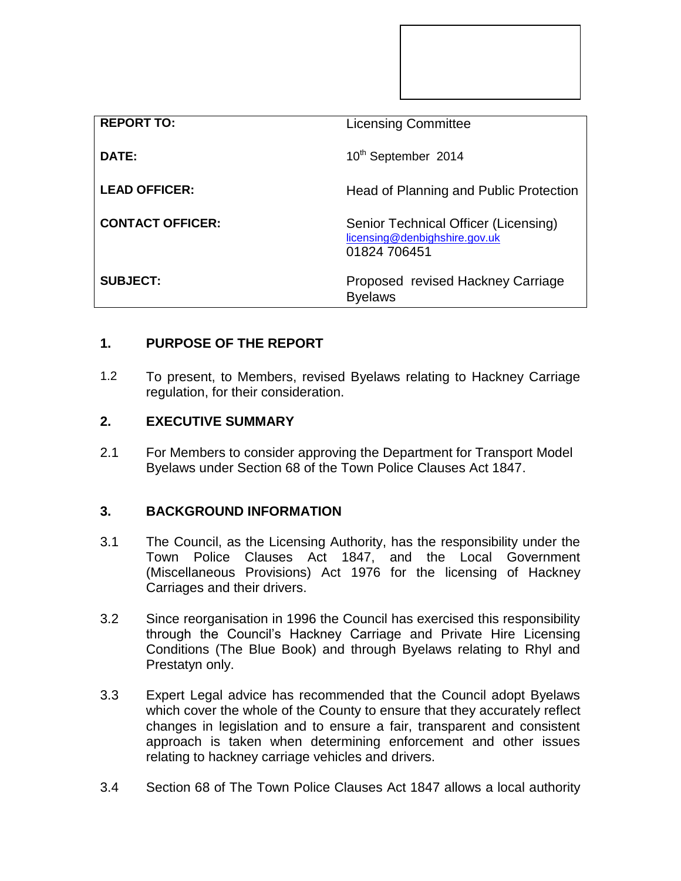| <b>REPORT TO:</b>       | <b>Licensing Committee</b>                                                            |
|-------------------------|---------------------------------------------------------------------------------------|
| DATE:                   | 10 <sup>th</sup> September 2014                                                       |
| <b>LEAD OFFICER:</b>    | Head of Planning and Public Protection                                                |
| <b>CONTACT OFFICER:</b> | Senior Technical Officer (Licensing)<br>licensing@denbighshire.gov.uk<br>01824 706451 |
| <b>SUBJECT:</b>         | Proposed revised Hackney Carriage<br><b>Byelaws</b>                                   |

# **1. PURPOSE OF THE REPORT**

1.2 To present, to Members, revised Byelaws relating to Hackney Carriage regulation, for their consideration.

## **2. EXECUTIVE SUMMARY**

2.1 For Members to consider approving the Department for Transport Model Byelaws under Section 68 of the Town Police Clauses Act 1847.

## **3. BACKGROUND INFORMATION**

- 3.1 The Council, as the Licensing Authority, has the responsibility under the Town Police Clauses Act 1847, and the Local Government (Miscellaneous Provisions) Act 1976 for the licensing of Hackney Carriages and their drivers.
- 3.2 Since reorganisation in 1996 the Council has exercised this responsibility through the Council's Hackney Carriage and Private Hire Licensing Conditions (The Blue Book) and through Byelaws relating to Rhyl and Prestatyn only.
- 3.3 Expert Legal advice has recommended that the Council adopt Byelaws which cover the whole of the County to ensure that they accurately reflect changes in legislation and to ensure a fair, transparent and consistent approach is taken when determining enforcement and other issues relating to hackney carriage vehicles and drivers.
- 3.4 Section 68 of The Town Police Clauses Act 1847 allows a local authority